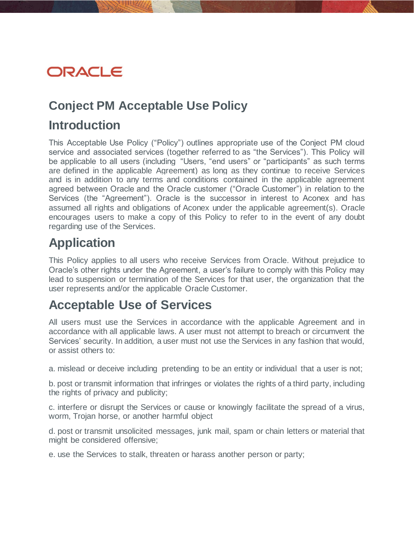# ORACLE

## **Conject PM Acceptable Use Policy**

### **Introduction**

This Acceptable Use Policy ("Policy") outlines appropriate use of the Conject PM cloud service and associated services (together referred to as "the Services"). This Policy will be applicable to all users (including "Users, "end users" or "participants" as such terms are defined in the applicable Agreement) as long as they continue to receive Services and is in addition to any terms and conditions contained in the applicable agreement agreed between Oracle and the Oracle customer ("Oracle Customer") in relation to the Services (the "Agreement"). Oracle is the successor in interest to Aconex and has assumed all rights and obligations of Aconex under the applicable agreement(s). Oracle encourages users to make a copy of this Policy to refer to in the event of any doubt regarding use of the Services.

# **Application**

This Policy applies to all users who receive Services from Oracle. Without prejudice to Oracle's other rights under the Agreement, a user's failure to comply with this Policy may lead to suspension or termination of the Services for that user, the organization that the user represents and/or the applicable Oracle Customer.

# **Acceptable Use of Services**

All users must use the Services in accordance with the applicable Agreement and in accordance with all applicable laws. A user must not attempt to breach or circumvent the Services' security. In addition, a user must not use the Services in any fashion that would, or assist others to:

a. mislead or deceive including pretending to be an entity or individual that a user is not;

b. post or transmit information that infringes or violates the rights of a third party, including the rights of privacy and publicity;

c. interfere or disrupt the Services or cause or knowingly facilitate the spread of a virus, worm, Trojan horse, or another harmful object

d. post or transmit unsolicited messages, junk mail, spam or chain letters or material that might be considered offensive;

e. use the Services to stalk, threaten or harass another person or party;